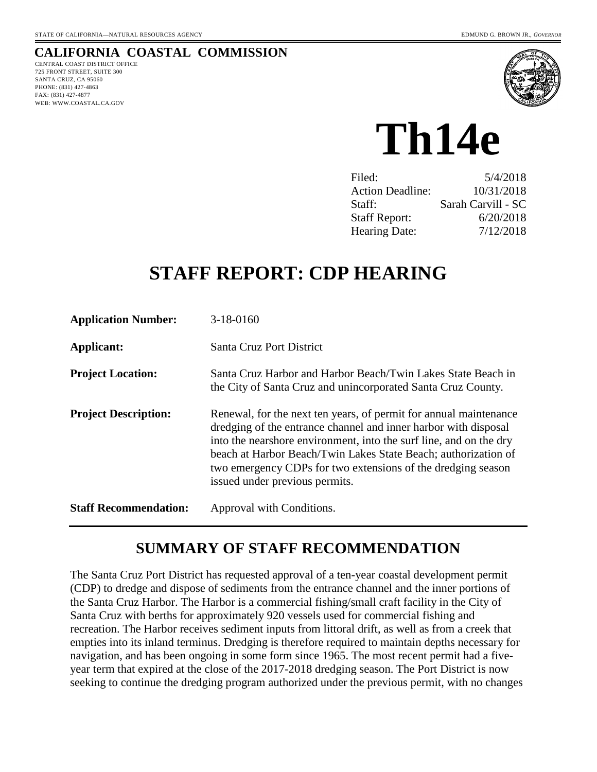### **CALIFORNIA COASTAL COMMISSION**

CENTRAL COAST DISTRICT OFFICE 725 FRONT STREET, SUITE 300 SANTA CRUZ, CA 95060 PHONE: (831) 427-4863 FAX: (831) 427-4877 WEB: WWW.COASTAL.CA.GOV



**Th14e** 

| 5/4/2018           |
|--------------------|
| 10/31/2018         |
| Sarah Carvill - SC |
| 6/20/2018          |
| 7/12/2018          |
|                    |

# **STAFF REPORT: CDP HEARING**

| <b>Application Number:</b>   | $3-18-0160$                                                                                                                                                                                                                                                                                                                                                                    |
|------------------------------|--------------------------------------------------------------------------------------------------------------------------------------------------------------------------------------------------------------------------------------------------------------------------------------------------------------------------------------------------------------------------------|
| Applicant:                   | <b>Santa Cruz Port District</b>                                                                                                                                                                                                                                                                                                                                                |
| <b>Project Location:</b>     | Santa Cruz Harbor and Harbor Beach/Twin Lakes State Beach in<br>the City of Santa Cruz and unincorporated Santa Cruz County.                                                                                                                                                                                                                                                   |
| <b>Project Description:</b>  | Renewal, for the next ten years, of permit for annual maintenance<br>dredging of the entrance channel and inner harbor with disposal<br>into the nearshore environment, into the surf line, and on the dry<br>beach at Harbor Beach/Twin Lakes State Beach; authorization of<br>two emergency CDPs for two extensions of the dredging season<br>issued under previous permits. |
| <b>Staff Recommendation:</b> | Approval with Conditions.                                                                                                                                                                                                                                                                                                                                                      |

# **SUMMARY OF STAFF RECOMMENDATION**

The Santa Cruz Port District has requested approval of a ten-year coastal development permit (CDP) to dredge and dispose of sediments from the entrance channel and the inner portions of the Santa Cruz Harbor. The Harbor is a commercial fishing/small craft facility in the City of Santa Cruz with berths for approximately 920 vessels used for commercial fishing and recreation. The Harbor receives sediment inputs from littoral drift, as well as from a creek that empties into its inland terminus. Dredging is therefore required to maintain depths necessary for navigation, and has been ongoing in some form since 1965. The most recent permit had a fiveyear term that expired at the close of the 2017-2018 dredging season. The Port District is now seeking to continue the dredging program authorized under the previous permit, with no changes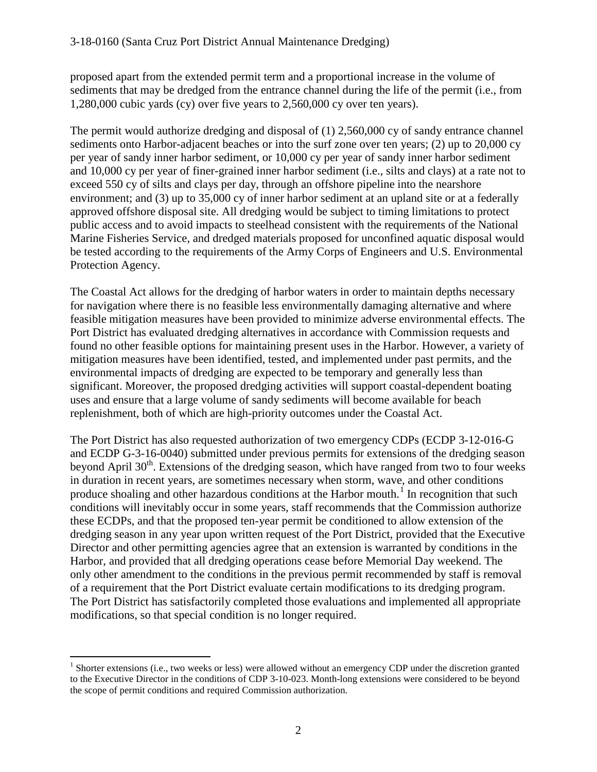proposed apart from the extended permit term and a proportional increase in the volume of sediments that may be dredged from the entrance channel during the life of the permit (i.e., from 1,280,000 cubic yards (cy) over five years to 2,560,000 cy over ten years).

The permit would authorize dredging and disposal of (1) 2,560,000 cy of sandy entrance channel sediments onto Harbor-adjacent beaches or into the surf zone over ten years; (2) up to 20,000 cy per year of sandy inner harbor sediment, or 10,000 cy per year of sandy inner harbor sediment and 10,000 cy per year of finer-grained inner harbor sediment (i.e., silts and clays) at a rate not to exceed 550 cy of silts and clays per day, through an offshore pipeline into the nearshore environment; and (3) up to 35,000 cy of inner harbor sediment at an upland site or at a federally approved offshore disposal site. All dredging would be subject to timing limitations to protect public access and to avoid impacts to steelhead consistent with the requirements of the National Marine Fisheries Service, and dredged materials proposed for unconfined aquatic disposal would be tested according to the requirements of the Army Corps of Engineers and U.S. Environmental Protection Agency.

The Coastal Act allows for the dredging of harbor waters in order to maintain depths necessary for navigation where there is no feasible less environmentally damaging alternative and where feasible mitigation measures have been provided to minimize adverse environmental effects. The Port District has evaluated dredging alternatives in accordance with Commission requests and found no other feasible options for maintaining present uses in the Harbor. However, a variety of mitigation measures have been identified, tested, and implemented under past permits, and the environmental impacts of dredging are expected to be temporary and generally less than significant. Moreover, the proposed dredging activities will support coastal-dependent boating uses and ensure that a large volume of sandy sediments will become available for beach replenishment, both of which are high-priority outcomes under the Coastal Act.

The Port District has also requested authorization of two emergency CDPs (ECDP 3-12-016-G and ECDP G-3-16-0040) submitted under previous permits for extensions of the dredging season beyond April  $30<sup>th</sup>$ . Extensions of the dredging season, which have ranged from two to four weeks in duration in recent years, are sometimes necessary when storm, wave, and other conditions produce shoaling and other hazardous conditions at the Harbor mouth.<sup>[1](#page-1-0)</sup> In recognition that such conditions will inevitably occur in some years, staff recommends that the Commission authorize these ECDPs, and that the proposed ten-year permit be conditioned to allow extension of the dredging season in any year upon written request of the Port District, provided that the Executive Director and other permitting agencies agree that an extension is warranted by conditions in the Harbor, and provided that all dredging operations cease before Memorial Day weekend. The only other amendment to the conditions in the previous permit recommended by staff is removal of a requirement that the Port District evaluate certain modifications to its dredging program. The Port District has satisfactorily completed those evaluations and implemented all appropriate modifications, so that special condition is no longer required.

 $\overline{a}$ 

<span id="page-1-0"></span><sup>&</sup>lt;sup>1</sup> Shorter extensions (i.e., two weeks or less) were allowed without an emergency CDP under the discretion granted to the Executive Director in the conditions of CDP 3-10-023. Month-long extensions were considered to be beyond the scope of permit conditions and required Commission authorization.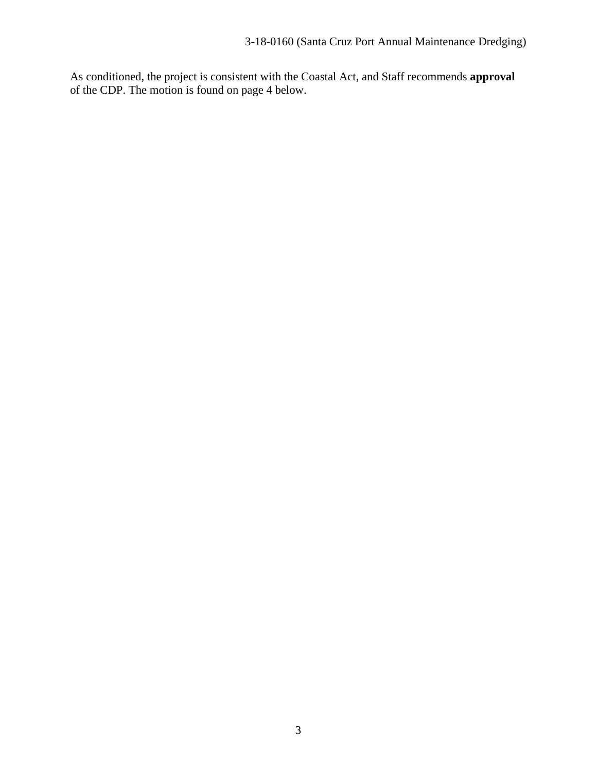As conditioned, the project is consistent with the Coastal Act, and Staff recommends **approval** of the CDP. The motion is found on page 4 below.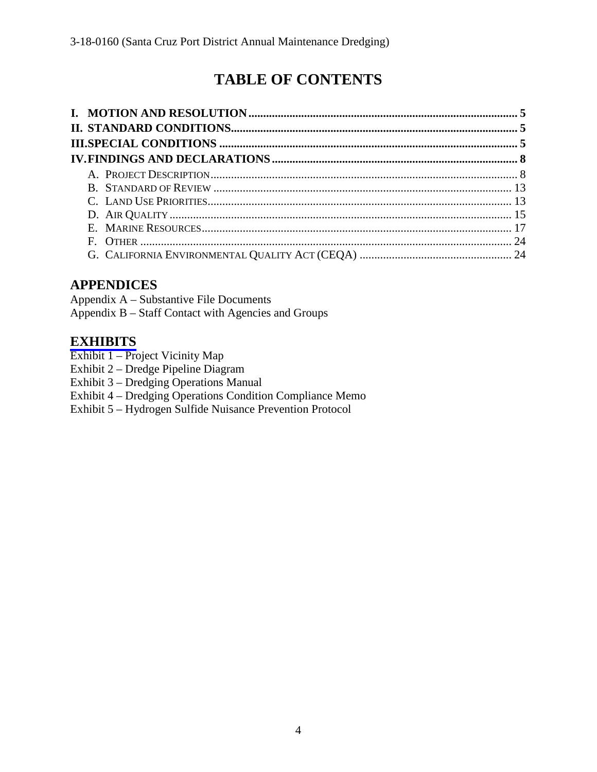# **TABLE OF CONTENTS**

# **APPENDICES**

Appendix A – Substantive File Documents Appendix B – Staff Contact with Agencies and Groups

## **[EXHIBITS](https://documents.coastal.ca.gov/reports/2018/7/th14e/th14e-7-2018-exhibits.pdf)**

- Exhibit 1 Project Vicinity Map
- Exhibit 2 Dredge Pipeline Diagram
- Exhibit 3 Dredging Operations Manual
- Exhibit 4 Dredging Operations Condition Compliance Memo
- Exhibit 5 Hydrogen Sulfide Nuisance Prevention Protocol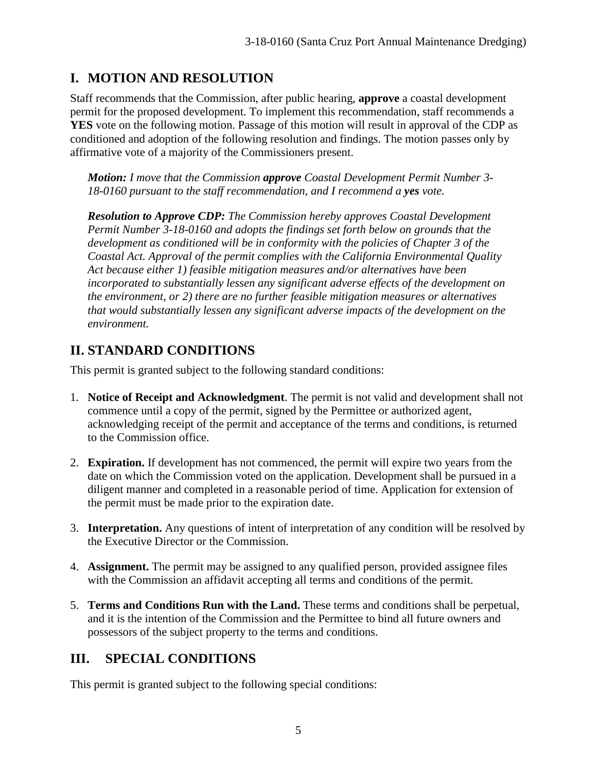# **I. MOTION AND RESOLUTION**

Staff recommends that the Commission, after public hearing, **approve** a coastal development permit for the proposed development. To implement this recommendation, staff recommends a **YES** vote on the following motion. Passage of this motion will result in approval of the CDP as conditioned and adoption of the following resolution and findings. The motion passes only by affirmative vote of a majority of the Commissioners present.

*Motion: I move that the Commission approve Coastal Development Permit Number 3- 18-0160 pursuant to the staff recommendation, and I recommend a yes vote.* 

*Resolution to Approve CDP: The Commission hereby approves Coastal Development Permit Number 3-18-0160 and adopts the findings set forth below on grounds that the development as conditioned will be in conformity with the policies of Chapter 3 of the Coastal Act. Approval of the permit complies with the California Environmental Quality Act because either 1) feasible mitigation measures and/or alternatives have been incorporated to substantially lessen any significant adverse effects of the development on the environment, or 2) there are no further feasible mitigation measures or alternatives that would substantially lessen any significant adverse impacts of the development on the environment.*

# **II. STANDARD CONDITIONS**

This permit is granted subject to the following standard conditions:

- 1. **Notice of Receipt and Acknowledgment**. The permit is not valid and development shall not commence until a copy of the permit, signed by the Permittee or authorized agent, acknowledging receipt of the permit and acceptance of the terms and conditions, is returned to the Commission office.
- 2. **Expiration.** If development has not commenced, the permit will expire two years from the date on which the Commission voted on the application. Development shall be pursued in a diligent manner and completed in a reasonable period of time. Application for extension of the permit must be made prior to the expiration date.
- 3. **Interpretation.** Any questions of intent of interpretation of any condition will be resolved by the Executive Director or the Commission.
- 4. **Assignment.** The permit may be assigned to any qualified person, provided assignee files with the Commission an affidavit accepting all terms and conditions of the permit.
- 5. **Terms and Conditions Run with the Land.** These terms and conditions shall be perpetual, and it is the intention of the Commission and the Permittee to bind all future owners and possessors of the subject property to the terms and conditions.

# **III. SPECIAL CONDITIONS**

This permit is granted subject to the following special conditions: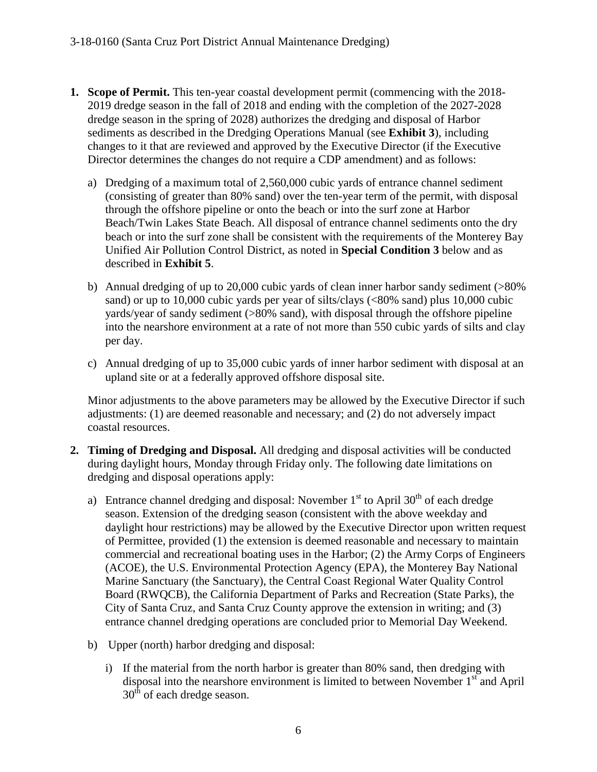- **1. Scope of Permit.** This ten-year coastal development permit (commencing with the 2018- 2019 dredge season in the fall of 2018 and ending with the completion of the 2027-2028 dredge season in the spring of 2028) authorizes the dredging and disposal of Harbor sediments as described in the Dredging Operations Manual (see **Exhibit 3**), including changes to it that are reviewed and approved by the Executive Director (if the Executive Director determines the changes do not require a CDP amendment) and as follows:
	- a) Dredging of a maximum total of 2,560,000 cubic yards of entrance channel sediment (consisting of greater than 80% sand) over the ten-year term of the permit, with disposal through the offshore pipeline or onto the beach or into the surf zone at Harbor Beach/Twin Lakes State Beach. All disposal of entrance channel sediments onto the dry beach or into the surf zone shall be consistent with the requirements of the Monterey Bay Unified Air Pollution Control District, as noted in **Special Condition 3** below and as described in **Exhibit 5**.
	- b) Annual dredging of up to 20,000 cubic yards of clean inner harbor sandy sediment (>80% sand) or up to 10,000 cubic yards per year of silts/clays (<80% sand) plus 10,000 cubic yards/year of sandy sediment (>80% sand), with disposal through the offshore pipeline into the nearshore environment at a rate of not more than 550 cubic yards of silts and clay per day.
	- c) Annual dredging of up to 35,000 cubic yards of inner harbor sediment with disposal at an upland site or at a federally approved offshore disposal site.

Minor adjustments to the above parameters may be allowed by the Executive Director if such adjustments: (1) are deemed reasonable and necessary; and (2) do not adversely impact coastal resources.

- **2. Timing of Dredging and Disposal.** All dredging and disposal activities will be conducted during daylight hours, Monday through Friday only. The following date limitations on dredging and disposal operations apply:
	- a) Entrance channel dredging and disposal: November  $1<sup>st</sup>$  to April 30<sup>th</sup> of each dredge season. Extension of the dredging season (consistent with the above weekday and daylight hour restrictions) may be allowed by the Executive Director upon written request of Permittee, provided (1) the extension is deemed reasonable and necessary to maintain commercial and recreational boating uses in the Harbor; (2) the Army Corps of Engineers (ACOE), the U.S. Environmental Protection Agency (EPA), the Monterey Bay National Marine Sanctuary (the Sanctuary), the Central Coast Regional Water Quality Control Board (RWQCB), the California Department of Parks and Recreation (State Parks), the City of Santa Cruz, and Santa Cruz County approve the extension in writing; and (3) entrance channel dredging operations are concluded prior to Memorial Day Weekend.
	- b) Upper (north) harbor dredging and disposal:
		- i) If the material from the north harbor is greater than 80% sand, then dredging with disposal into the nearshore environment is limited to between November  $1<sup>st</sup>$  and April  $30<sup>th</sup>$  of each dredge season.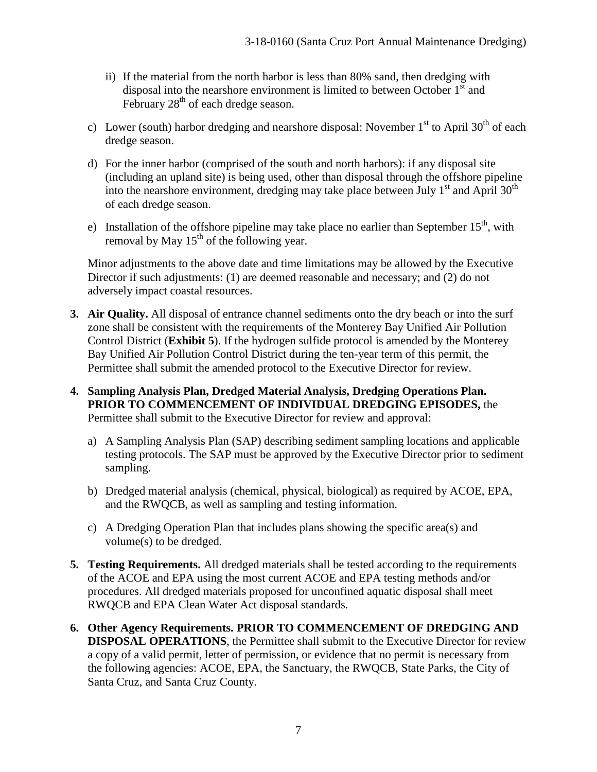- ii) If the material from the north harbor is less than 80% sand, then dredging with disposal into the nearshore environment is limited to between October  $1<sup>st</sup>$  and February  $28<sup>th</sup>$  of each dredge season.
- c) Lower (south) harbor dredging and nearshore disposal: November  $1<sup>st</sup>$  to April 30<sup>th</sup> of each dredge season.
- d) For the inner harbor (comprised of the south and north harbors): if any disposal site (including an upland site) is being used, other than disposal through the offshore pipeline into the nearshore environment, dredging may take place between July  $1<sup>st</sup>$  and April 30<sup>th</sup> of each dredge season.
- e) Installation of the offshore pipeline may take place no earlier than September  $15<sup>th</sup>$ , with removal by May  $15<sup>th</sup>$  of the following year.

Minor adjustments to the above date and time limitations may be allowed by the Executive Director if such adjustments: (1) are deemed reasonable and necessary; and (2) do not adversely impact coastal resources.

- **3. Air Quality.** All disposal of entrance channel sediments onto the dry beach or into the surf zone shall be consistent with the requirements of the Monterey Bay Unified Air Pollution Control District (**Exhibit 5**). If the hydrogen sulfide protocol is amended by the Monterey Bay Unified Air Pollution Control District during the ten-year term of this permit, the Permittee shall submit the amended protocol to the Executive Director for review.
- **4. Sampling Analysis Plan, Dredged Material Analysis, Dredging Operations Plan. PRIOR TO COMMENCEMENT OF INDIVIDUAL DREDGING EPISODES,** the Permittee shall submit to the Executive Director for review and approval:
	- a) A Sampling Analysis Plan (SAP) describing sediment sampling locations and applicable testing protocols. The SAP must be approved by the Executive Director prior to sediment sampling.
	- b) Dredged material analysis (chemical, physical, biological) as required by ACOE, EPA, and the RWQCB, as well as sampling and testing information.
	- c) A Dredging Operation Plan that includes plans showing the specific area(s) and volume(s) to be dredged.
- **5. Testing Requirements.** All dredged materials shall be tested according to the requirements of the ACOE and EPA using the most current ACOE and EPA testing methods and/or procedures. All dredged materials proposed for unconfined aquatic disposal shall meet RWQCB and EPA Clean Water Act disposal standards.
- **6. Other Agency Requirements. PRIOR TO COMMENCEMENT OF DREDGING AND DISPOSAL OPERATIONS**, the Permittee shall submit to the Executive Director for review a copy of a valid permit, letter of permission, or evidence that no permit is necessary from the following agencies: ACOE, EPA, the Sanctuary, the RWQCB, State Parks, the City of Santa Cruz, and Santa Cruz County.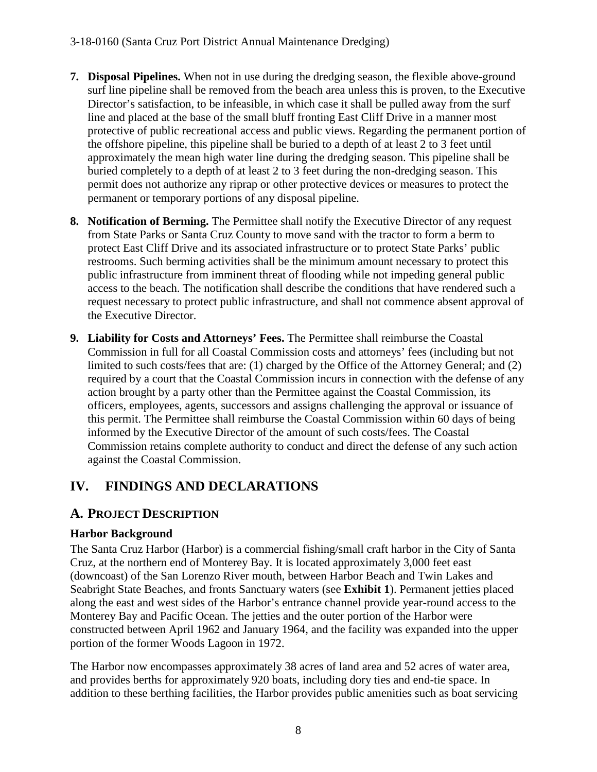### 3-18-0160 (Santa Cruz Port District Annual Maintenance Dredging)

- **7. Disposal Pipelines.** When not in use during the dredging season, the flexible above-ground surf line pipeline shall be removed from the beach area unless this is proven, to the Executive Director's satisfaction, to be infeasible, in which case it shall be pulled away from the surf line and placed at the base of the small bluff fronting East Cliff Drive in a manner most protective of public recreational access and public views. Regarding the permanent portion of the offshore pipeline, this pipeline shall be buried to a depth of at least 2 to 3 feet until approximately the mean high water line during the dredging season. This pipeline shall be buried completely to a depth of at least 2 to 3 feet during the non-dredging season. This permit does not authorize any riprap or other protective devices or measures to protect the permanent or temporary portions of any disposal pipeline.
- **8. Notification of Berming.** The Permittee shall notify the Executive Director of any request from State Parks or Santa Cruz County to move sand with the tractor to form a berm to protect East Cliff Drive and its associated infrastructure or to protect State Parks' public restrooms. Such berming activities shall be the minimum amount necessary to protect this public infrastructure from imminent threat of flooding while not impeding general public access to the beach. The notification shall describe the conditions that have rendered such a request necessary to protect public infrastructure, and shall not commence absent approval of the Executive Director.
- **9. Liability for Costs and Attorneys' Fees.** The Permittee shall reimburse the Coastal Commission in full for all Coastal Commission costs and attorneys' fees (including but not limited to such costs/fees that are: (1) charged by the Office of the Attorney General; and (2) required by a court that the Coastal Commission incurs in connection with the defense of any action brought by a party other than the Permittee against the Coastal Commission, its officers, employees, agents, successors and assigns challenging the approval or issuance of this permit. The Permittee shall reimburse the Coastal Commission within 60 days of being informed by the Executive Director of the amount of such costs/fees. The Coastal Commission retains complete authority to conduct and direct the defense of any such action against the Coastal Commission.

## **IV. FINDINGS AND DECLARATIONS**

### **A. PROJECT DESCRIPTION**

### **Harbor Background**

The Santa Cruz Harbor (Harbor) is a commercial fishing/small craft harbor in the City of Santa Cruz, at the northern end of Monterey Bay. It is located approximately 3,000 feet east (downcoast) of the San Lorenzo River mouth, between Harbor Beach and Twin Lakes and Seabright State Beaches, and fronts Sanctuary waters (see **Exhibit 1**). Permanent jetties placed along the east and west sides of the Harbor's entrance channel provide year-round access to the Monterey Bay and Pacific Ocean. The jetties and the outer portion of the Harbor were constructed between April 1962 and January 1964, and the facility was expanded into the upper portion of the former Woods Lagoon in 1972.

The Harbor now encompasses approximately 38 acres of land area and 52 acres of water area, and provides berths for approximately 920 boats, including dory ties and end-tie space. In addition to these berthing facilities, the Harbor provides public amenities such as boat servicing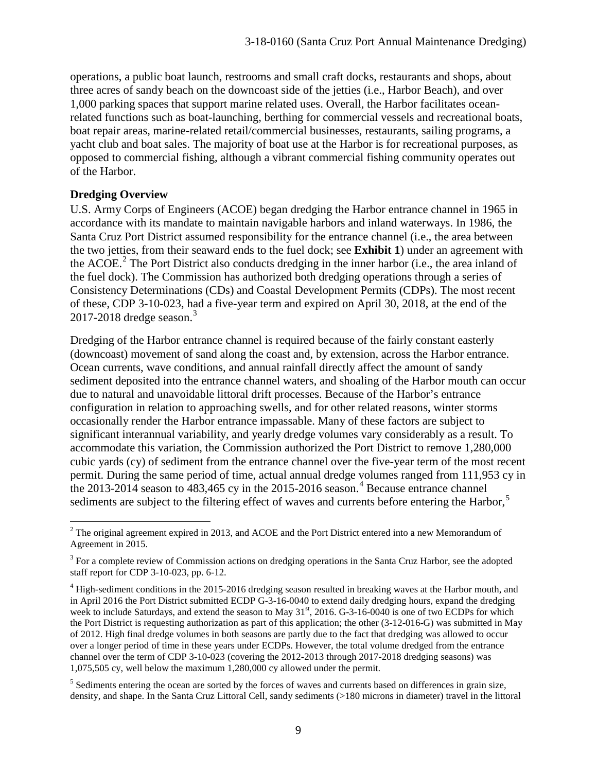operations, a public boat launch, restrooms and small craft docks, restaurants and shops, about three acres of sandy beach on the downcoast side of the jetties (i.e., Harbor Beach), and over 1,000 parking spaces that support marine related uses. Overall, the Harbor facilitates oceanrelated functions such as boat-launching, berthing for commercial vessels and recreational boats, boat repair areas, marine-related retail/commercial businesses, restaurants, sailing programs, a yacht club and boat sales. The majority of boat use at the Harbor is for recreational purposes, as opposed to commercial fishing, although a vibrant commercial fishing community operates out of the Harbor.

#### **Dredging Overview**

U.S. Army Corps of Engineers (ACOE) began dredging the Harbor entrance channel in 1965 in accordance with its mandate to maintain navigable harbors and inland waterways. In 1986, the Santa Cruz Port District assumed responsibility for the entrance channel (i.e., the area between the two jetties, from their seaward ends to the fuel dock; see **Exhibit 1**) under an agreement with the ACOE.<sup>[2](#page-8-0)</sup> The Port District also conducts dredging in the inner harbor (i.e., the area inland of the fuel dock). The Commission has authorized both dredging operations through a series of Consistency Determinations (CDs) and Coastal Development Permits (CDPs). The most recent of these, CDP 3-10-023, had a five-year term and expired on April 30, 2018, at the end of the 2017-2018 dredge season. $3$ 

Dredging of the Harbor entrance channel is required because of the fairly constant easterly (downcoast) movement of sand along the coast and, by extension, across the Harbor entrance. Ocean currents, wave conditions, and annual rainfall directly affect the amount of sandy sediment deposited into the entrance channel waters, and shoaling of the Harbor mouth can occur due to natural and unavoidable littoral drift processes. Because of the Harbor's entrance configuration in relation to approaching swells, and for other related reasons, winter storms occasionally render the Harbor entrance impassable. Many of these factors are subject to significant interannual variability, and yearly dredge volumes vary considerably as a result. To accommodate this variation, the Commission authorized the Port District to remove 1,280,000 cubic yards (cy) of sediment from the entrance channel over the five-year term of the most recent permit. During the same period of time, actual annual dredge volumes ranged from 111,953 cy in the 2013-2014 season to 483,465 cy in the 2015-2016 season. [4](#page-8-2) Because entrance channel sediments are subject to the filtering effect of waves and currents before entering the Harbor,<sup>[5](#page-8-3)</sup>

<span id="page-8-0"></span> $\overline{a}$  $2^2$  The original agreement expired in 2013, and ACOE and the Port District entered into a new Memorandum of Agreement in 2015.

<span id="page-8-1"></span><sup>&</sup>lt;sup>3</sup> For a complete review of Commission actions on dredging operations in the Santa Cruz Harbor, see the adopted staff report for CDP 3-10-023, pp. 6-12.

<span id="page-8-2"></span><sup>&</sup>lt;sup>4</sup> High-sediment conditions in the 2015-2016 dredging season resulted in breaking waves at the Harbor mouth, and in April 2016 the Port District submitted ECDP G-3-16-0040 to extend daily dredging hours, expand the dredging week to include Saturdays, and extend the season to May 31<sup>st</sup>, 2016. G-3-16-0040 is one of two ECDPs for which the Port District is requesting authorization as part of this application; the other (3-12-016-G) was submitted in May of 2012. High final dredge volumes in both seasons are partly due to the fact that dredging was allowed to occur over a longer period of time in these years under ECDPs. However, the total volume dredged from the entrance channel over the term of CDP 3-10-023 (covering the 2012-2013 through 2017-2018 dredging seasons) was 1,075,505 cy, well below the maximum 1,280,000 cy allowed under the permit.

<span id="page-8-3"></span><sup>&</sup>lt;sup>5</sup> Sediments entering the ocean are sorted by the forces of waves and currents based on differences in grain size, density, and shape. In the Santa Cruz Littoral Cell, sandy sediments (>180 microns in diameter) travel in the littoral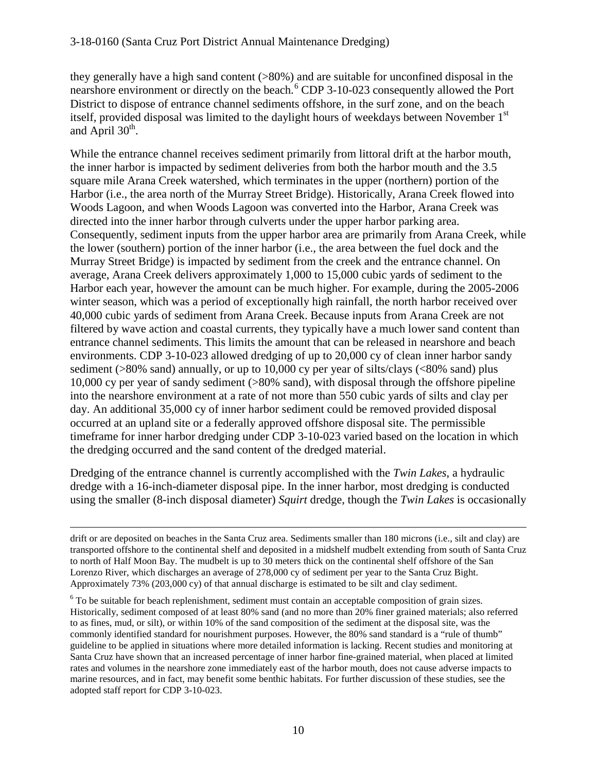they generally have a high sand content (>80%) and are suitable for unconfined disposal in the nearshore environment or directly on the beach.<sup>[6](#page-9-0)</sup> CDP 3-10-023 consequently allowed the Port District to dispose of entrance channel sediments offshore, in the surf zone, and on the beach itself, provided disposal was limited to the daylight hours of weekdays between November 1<sup>st</sup> and April  $30<sup>th</sup>$ .

While the entrance channel receives sediment primarily from littoral drift at the harbor mouth, the inner harbor is impacted by sediment deliveries from both the harbor mouth and the 3.5 square mile Arana Creek watershed, which terminates in the upper (northern) portion of the Harbor (i.e., the area north of the Murray Street Bridge). Historically, Arana Creek flowed into Woods Lagoon, and when Woods Lagoon was converted into the Harbor, Arana Creek was directed into the inner harbor through culverts under the upper harbor parking area. Consequently, sediment inputs from the upper harbor area are primarily from Arana Creek, while the lower (southern) portion of the inner harbor (i.e., the area between the fuel dock and the Murray Street Bridge) is impacted by sediment from the creek and the entrance channel. On average, Arana Creek delivers approximately 1,000 to 15,000 cubic yards of sediment to the Harbor each year, however the amount can be much higher. For example, during the 2005-2006 winter season, which was a period of exceptionally high rainfall, the north harbor received over 40,000 cubic yards of sediment from Arana Creek. Because inputs from Arana Creek are not filtered by wave action and coastal currents, they typically have a much lower sand content than entrance channel sediments. This limits the amount that can be released in nearshore and beach environments. CDP 3-10-023 allowed dredging of up to 20,000 cy of clean inner harbor sandy sediment (>80% sand) annually, or up to 10,000 cy per year of silts/clays (<80% sand) plus 10,000 cy per year of sandy sediment (>80% sand), with disposal through the offshore pipeline into the nearshore environment at a rate of not more than 550 cubic yards of silts and clay per day. An additional 35,000 cy of inner harbor sediment could be removed provided disposal occurred at an upland site or a federally approved offshore disposal site. The permissible timeframe for inner harbor dredging under CDP 3-10-023 varied based on the location in which the dredging occurred and the sand content of the dredged material.

Dredging of the entrance channel is currently accomplished with the *Twin Lakes*, a hydraulic dredge with a 16-inch-diameter disposal pipe. In the inner harbor, most dredging is conducted using the smaller (8-inch disposal diameter) *Squirt* dredge, though the *Twin Lakes* is occasionally

 $\overline{a}$ 

drift or are deposited on beaches in the Santa Cruz area. Sediments smaller than 180 microns (i.e., silt and clay) are transported offshore to the continental shelf and deposited in a midshelf mudbelt extending from south of Santa Cruz to north of Half Moon Bay. The mudbelt is up to 30 meters thick on the continental shelf offshore of the San Lorenzo River, which discharges an average of 278,000 cy of sediment per year to the Santa Cruz Bight. Approximately 73% (203,000 cy) of that annual discharge is estimated to be silt and clay sediment.

<span id="page-9-0"></span><sup>&</sup>lt;sup>6</sup> To be suitable for beach replenishment, sediment must contain an acceptable composition of grain sizes. Historically, sediment composed of at least 80% sand (and no more than 20% finer grained materials; also referred to as fines, mud, or silt), or within 10% of the sand composition of the sediment at the disposal site, was the commonly identified standard for nourishment purposes. However, the 80% sand standard is a "rule of thumb" guideline to be applied in situations where more detailed information is lacking. Recent studies and monitoring at Santa Cruz have shown that an increased percentage of inner harbor fine-grained material, when placed at limited rates and volumes in the nearshore zone immediately east of the harbor mouth, does not cause adverse impacts to marine resources, and in fact, may benefit some benthic habitats. For further discussion of these studies, see the adopted staff report for CDP 3-10-023.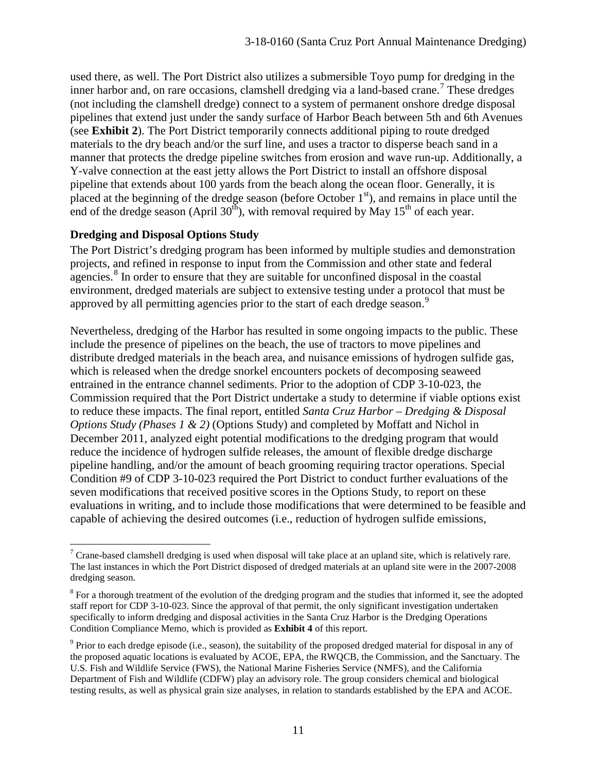used there, as well. The Port District also utilizes a submersible Toyo pump for dredging in the inner harbor and, on rare occasions, clamshell dredging via a land-based crane.<sup>[7](#page-10-0)</sup> These dredges (not including the clamshell dredge) connect to a system of permanent onshore dredge disposal pipelines that extend just under the sandy surface of Harbor Beach between 5th and 6th Avenues (see **Exhibit 2**). The Port District temporarily connects additional piping to route dredged materials to the dry beach and/or the surf line, and uses a tractor to disperse beach sand in a manner that protects the dredge pipeline switches from erosion and wave run-up. Additionally, a Y-valve connection at the east jetty allows the Port District to install an offshore disposal pipeline that extends about 100 yards from the beach along the ocean floor. Generally, it is placed at the beginning of the dredge season (before October  $1<sup>st</sup>$ ), and remains in place until the end of the dredge season (April  $30<sup>th</sup>$ ), with removal required by May 15<sup>th</sup> of each year.

#### **Dredging and Disposal Options Study**

The Port District's dredging program has been informed by multiple studies and demonstration projects, and refined in response to input from the Commission and other state and federal agencies.<sup>[8](#page-10-1)</sup> In order to ensure that they are suitable for unconfined disposal in the coastal environment, dredged materials are subject to extensive testing under a protocol that must be approved by all permitting agencies prior to the start of each dredge season.<sup>[9](#page-10-2)</sup>

Nevertheless, dredging of the Harbor has resulted in some ongoing impacts to the public. These include the presence of pipelines on the beach, the use of tractors to move pipelines and distribute dredged materials in the beach area, and nuisance emissions of hydrogen sulfide gas, which is released when the dredge snorkel encounters pockets of decomposing seaweed entrained in the entrance channel sediments. Prior to the adoption of CDP 3-10-023, the Commission required that the Port District undertake a study to determine if viable options exist to reduce these impacts. The final report, entitled *Santa Cruz Harbor – Dredging & Disposal Options Study (Phases 1 & 2)* (Options Study) and completed by Moffatt and Nichol in December 2011, analyzed eight potential modifications to the dredging program that would reduce the incidence of hydrogen sulfide releases, the amount of flexible dredge discharge pipeline handling, and/or the amount of beach grooming requiring tractor operations. Special Condition #9 of CDP 3-10-023 required the Port District to conduct further evaluations of the seven modifications that received positive scores in the Options Study, to report on these evaluations in writing, and to include those modifications that were determined to be feasible and capable of achieving the desired outcomes (i.e., reduction of hydrogen sulfide emissions,

<span id="page-10-0"></span> $\overline{a}$ <sup>7</sup> Crane-based clamshell dredging is used when disposal will take place at an upland site, which is relatively rare. The last instances in which the Port District disposed of dredged materials at an upland site were in the 2007-2008 dredging season.

<span id="page-10-1"></span><sup>&</sup>lt;sup>8</sup> For a thorough treatment of the evolution of the dredging program and the studies that informed it, see the adopted staff report for CDP 3-10-023. Since the approval of that permit, the only significant investigation undertaken specifically to inform dredging and disposal activities in the Santa Cruz Harbor is the Dredging Operations Condition Compliance Memo, which is provided as **Exhibit 4** of this report.

<span id="page-10-2"></span><sup>9</sup> Prior to each dredge episode (i.e., season), the suitability of the proposed dredged material for disposal in any of the proposed aquatic locations is evaluated by ACOE, EPA, the RWQCB, the Commission, and the Sanctuary. The U.S. Fish and Wildlife Service (FWS), the National Marine Fisheries Service (NMFS), and the California Department of Fish and Wildlife (CDFW) play an advisory role. The group considers chemical and biological testing results, as well as physical grain size analyses, in relation to standards established by the EPA and ACOE.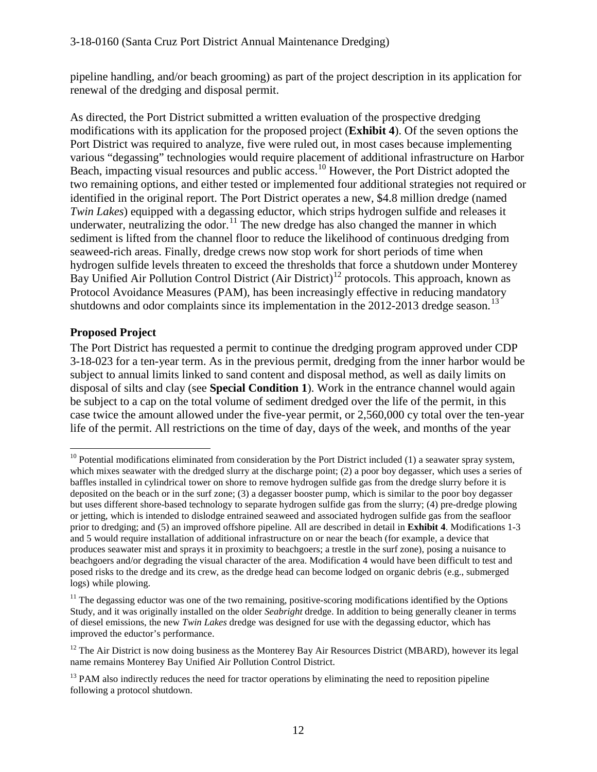pipeline handling, and/or beach grooming) as part of the project description in its application for renewal of the dredging and disposal permit.

As directed, the Port District submitted a written evaluation of the prospective dredging modifications with its application for the proposed project (**Exhibit 4**). Of the seven options the Port District was required to analyze, five were ruled out, in most cases because implementing various "degassing" technologies would require placement of additional infrastructure on Harbor Beach, impacting visual resources and public access.<sup>10</sup> However, the Port District adopted the two remaining options, and either tested or implemented four additional strategies not required or identified in the original report. The Port District operates a new, \$4.8 million dredge (named *Twin Lakes*) equipped with a degassing eductor, which strips hydrogen sulfide and releases it underwater, neutralizing the odor.<sup>[11](#page-11-1)</sup> The new dredge has also changed the manner in which sediment is lifted from the channel floor to reduce the likelihood of continuous dredging from seaweed-rich areas. Finally, dredge crews now stop work for short periods of time when hydrogen sulfide levels threaten to exceed the thresholds that force a shutdown under Monterey Bay Unified Air Pollution Control District (Air District)<sup>[12](#page-11-2)</sup> protocols. This approach, known as Protocol Avoidance Measures (PAM), has been increasingly effective in reducing mandatory shutdowns and odor complaints since its implementation in the  $2012$ - $2013$  $2013$  dredge season.<sup>13</sup>

### **Proposed Project**

 $\overline{a}$ 

The Port District has requested a permit to continue the dredging program approved under CDP 3-18-023 for a ten-year term. As in the previous permit, dredging from the inner harbor would be subject to annual limits linked to sand content and disposal method, as well as daily limits on disposal of silts and clay (see **Special Condition 1**). Work in the entrance channel would again be subject to a cap on the total volume of sediment dredged over the life of the permit, in this case twice the amount allowed under the five-year permit, or 2,560,000 cy total over the ten-year life of the permit. All restrictions on the time of day, days of the week, and months of the year

<span id="page-11-0"></span> $10$  Potential modifications eliminated from consideration by the Port District included (1) a seawater spray system, which mixes seawater with the dredged slurry at the discharge point; (2) a poor boy degasser, which uses a series of baffles installed in cylindrical tower on shore to remove hydrogen sulfide gas from the dredge slurry before it is deposited on the beach or in the surf zone; (3) a degasser booster pump, which is similar to the poor boy degasser but uses different shore-based technology to separate hydrogen sulfide gas from the slurry; (4) pre-dredge plowing or jetting, which is intended to dislodge entrained seaweed and associated hydrogen sulfide gas from the seafloor prior to dredging; and (5) an improved offshore pipeline. All are described in detail in **Exhibit 4**. Modifications 1-3 and 5 would require installation of additional infrastructure on or near the beach (for example, a device that produces seawater mist and sprays it in proximity to beachgoers; a trestle in the surf zone), posing a nuisance to beachgoers and/or degrading the visual character of the area. Modification 4 would have been difficult to test and posed risks to the dredge and its crew, as the dredge head can become lodged on organic debris (e.g., submerged logs) while plowing.

<span id="page-11-1"></span> $11$  The degassing eductor was one of the two remaining, positive-scoring modifications identified by the Options Study, and it was originally installed on the older *Seabright* dredge. In addition to being generally cleaner in terms of diesel emissions, the new *Twin Lakes* dredge was designed for use with the degassing eductor, which has improved the eductor's performance.

<span id="page-11-2"></span> $12$  The Air District is now doing business as the Monterey Bay Air Resources District (MBARD), however its legal name remains Monterey Bay Unified Air Pollution Control District.

<span id="page-11-3"></span><sup>&</sup>lt;sup>13</sup> PAM also indirectly reduces the need for tractor operations by eliminating the need to reposition pipeline following a protocol shutdown.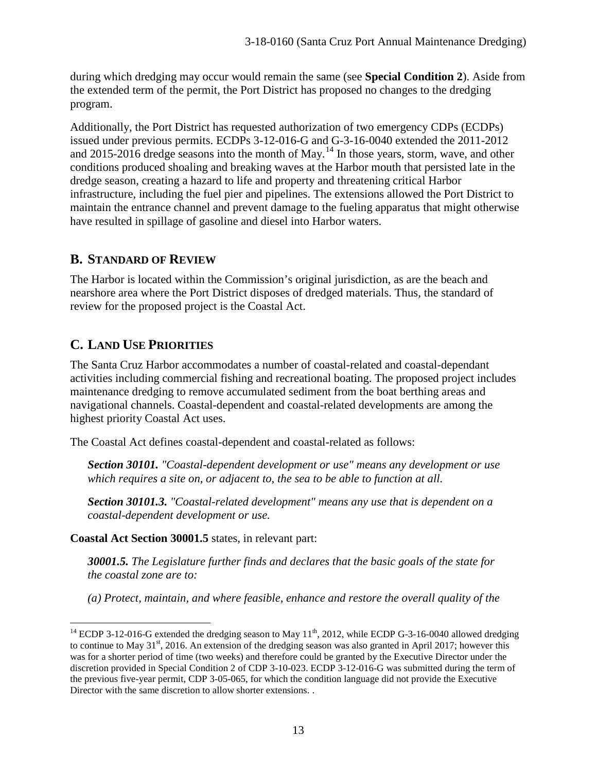during which dredging may occur would remain the same (see **Special Condition 2**). Aside from the extended term of the permit, the Port District has proposed no changes to the dredging program.

Additionally, the Port District has requested authorization of two emergency CDPs (ECDPs) issued under previous permits. ECDPs 3-12-016-G and G-3-16-0040 extended the 2011-2012 and 2015-2016 dredge seasons into the month of May.<sup>[14](#page-12-0)</sup> In those years, storm, wave, and other conditions produced shoaling and breaking waves at the Harbor mouth that persisted late in the dredge season, creating a hazard to life and property and threatening critical Harbor infrastructure, including the fuel pier and pipelines. The extensions allowed the Port District to maintain the entrance channel and prevent damage to the fueling apparatus that might otherwise have resulted in spillage of gasoline and diesel into Harbor waters.

### **B. STANDARD OF REVIEW**

The Harbor is located within the Commission's original jurisdiction, as are the beach and nearshore area where the Port District disposes of dredged materials. Thus, the standard of review for the proposed project is the Coastal Act.

## **C. LAND USE PRIORITIES**

The Santa Cruz Harbor accommodates a number of coastal-related and coastal-dependant activities including commercial fishing and recreational boating. The proposed project includes maintenance dredging to remove accumulated sediment from the boat berthing areas and navigational channels. Coastal-dependent and coastal-related developments are among the highest priority Coastal Act uses.

The Coastal Act defines coastal-dependent and coastal-related as follows:

*Section 30101. "Coastal-dependent development or use" means any development or use which requires a site on, or adjacent to, the sea to be able to function at all.* 

*Section 30101.3. "Coastal-related development" means any use that is dependent on a coastal-dependent development or use.*

**Coastal Act Section 30001.5** states, in relevant part:

*30001.5. The Legislature further finds and declares that the basic goals of the state for the coastal zone are to:* 

*(a) Protect, maintain, and where feasible, enhance and restore the overall quality of the* 

<span id="page-12-0"></span> $\overline{a}$ <sup>14</sup> ECDP 3-12-016-G extended the dredging season to May 11<sup>th</sup>, 2012, while ECDP G-3-16-0040 allowed dredging to continue to May  $31^{st}$ , 2016. An extension of the dredging season was also granted in April 2017; however this was for a shorter period of time (two weeks) and therefore could be granted by the Executive Director under the discretion provided in Special Condition 2 of CDP 3-10-023. ECDP 3-12-016-G was submitted during the term of the previous five-year permit, CDP 3-05-065, for which the condition language did not provide the Executive Director with the same discretion to allow shorter extensions. .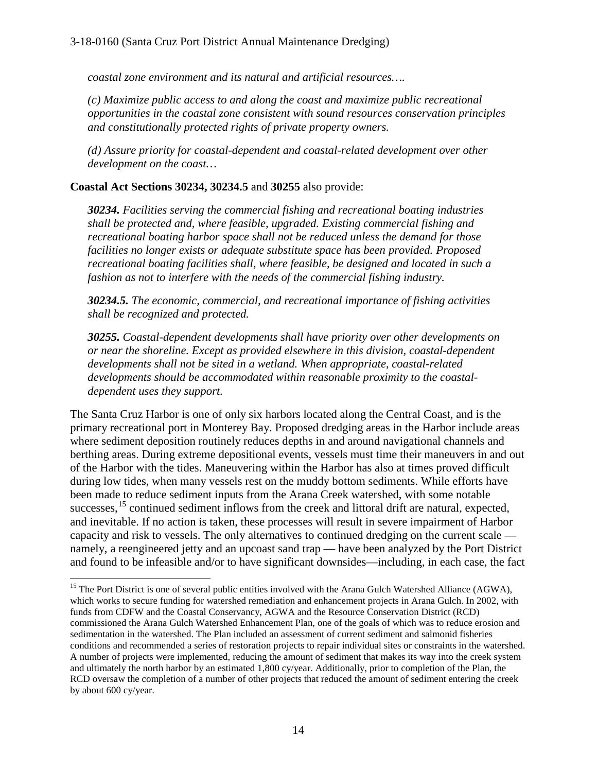*coastal zone environment and its natural and artificial resources….* 

*(c) Maximize public access to and along the coast and maximize public recreational opportunities in the coastal zone consistent with sound resources conservation principles and constitutionally protected rights of private property owners.* 

*(d) Assure priority for coastal-dependent and coastal-related development over other development on the coast…* 

#### **Coastal Act Sections 30234, 30234.5** and **30255** also provide:

*30234. Facilities serving the commercial fishing and recreational boating industries shall be protected and, where feasible, upgraded. Existing commercial fishing and recreational boating harbor space shall not be reduced unless the demand for those facilities no longer exists or adequate substitute space has been provided. Proposed recreational boating facilities shall, where feasible, be designed and located in such a fashion as not to interfere with the needs of the commercial fishing industry.* 

*30234.5. The economic, commercial, and recreational importance of fishing activities shall be recognized and protected.* 

*30255. Coastal-dependent developments shall have priority over other developments on or near the shoreline. Except as provided elsewhere in this division, coastal-dependent developments shall not be sited in a wetland. When appropriate, coastal-related developments should be accommodated within reasonable proximity to the coastaldependent uses they support.* 

The Santa Cruz Harbor is one of only six harbors located along the Central Coast, and is the primary recreational port in Monterey Bay. Proposed dredging areas in the Harbor include areas where sediment deposition routinely reduces depths in and around navigational channels and berthing areas. During extreme depositional events, vessels must time their maneuvers in and out of the Harbor with the tides. Maneuvering within the Harbor has also at times proved difficult during low tides, when many vessels rest on the muddy bottom sediments. While efforts have been made to reduce sediment inputs from the Arana Creek watershed, with some notable successes.<sup>15</sup> continued sediment inflows from the creek and littoral drift are natural, expected, and inevitable. If no action is taken, these processes will result in severe impairment of Harbor capacity and risk to vessels. The only alternatives to continued dredging on the current scale namely, a reengineered jetty and an upcoast sand trap — have been analyzed by the Port District and found to be infeasible and/or to have significant downsides—including, in each case, the fact

<span id="page-13-0"></span> $\overline{a}$ <sup>15</sup> The Port District is one of several public entities involved with the Arana Gulch Watershed Alliance (AGWA), which works to secure funding for watershed remediation and enhancement projects in Arana Gulch. In 2002, with funds from CDFW and the Coastal Conservancy, AGWA and the Resource Conservation District (RCD) commissioned the Arana Gulch Watershed Enhancement Plan, one of the goals of which was to reduce erosion and sedimentation in the watershed. The Plan included an assessment of current sediment and salmonid fisheries conditions and recommended a series of restoration projects to repair individual sites or constraints in the watershed. A number of projects were implemented, reducing the amount of sediment that makes its way into the creek system and ultimately the north harbor by an estimated 1,800 cy/year. Additionally, prior to completion of the Plan, the RCD oversaw the completion of a number of other projects that reduced the amount of sediment entering the creek by about 600 cy/year.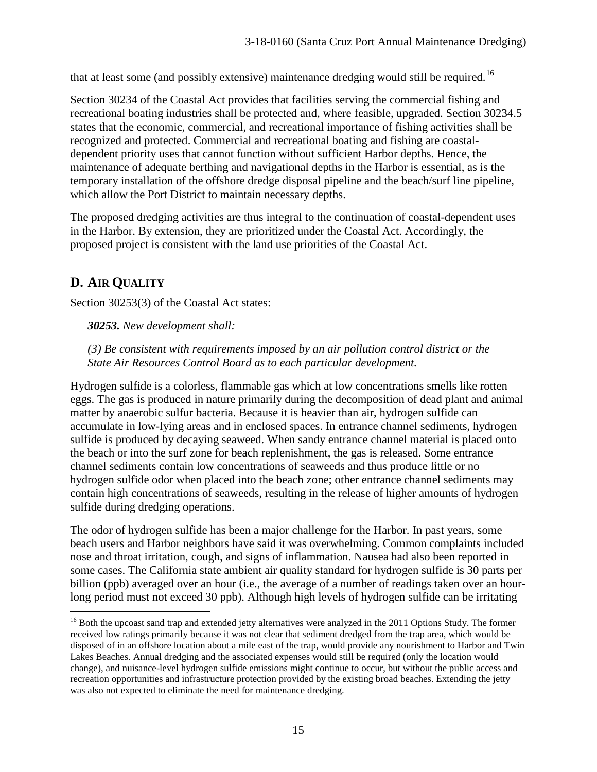that at least some (and possibly extensive) maintenance dredging would still be required.<sup>[16](#page-14-0)</sup>

Section 30234 of the Coastal Act provides that facilities serving the commercial fishing and recreational boating industries shall be protected and, where feasible, upgraded. Section 30234.5 states that the economic, commercial, and recreational importance of fishing activities shall be recognized and protected. Commercial and recreational boating and fishing are coastaldependent priority uses that cannot function without sufficient Harbor depths. Hence, the maintenance of adequate berthing and navigational depths in the Harbor is essential, as is the temporary installation of the offshore dredge disposal pipeline and the beach/surf line pipeline, which allow the Port District to maintain necessary depths.

The proposed dredging activities are thus integral to the continuation of coastal-dependent uses in the Harbor. By extension, they are prioritized under the Coastal Act. Accordingly, the proposed project is consistent with the land use priorities of the Coastal Act.

# **D. AIR QUALITY**

 $\overline{a}$ 

Section 30253(3) of the Coastal Act states:

*30253. New development shall:* 

*(3) Be consistent with requirements imposed by an air pollution control district or the State Air Resources Control Board as to each particular development.* 

Hydrogen sulfide is a colorless, flammable gas which at low concentrations smells like rotten eggs. The gas is produced in nature primarily during the decomposition of dead plant and animal matter by anaerobic sulfur bacteria. Because it is heavier than air, hydrogen sulfide can accumulate in low-lying areas and in enclosed spaces. In entrance channel sediments, hydrogen sulfide is produced by decaying seaweed. When sandy entrance channel material is placed onto the beach or into the surf zone for beach replenishment, the gas is released. Some entrance channel sediments contain low concentrations of seaweeds and thus produce little or no hydrogen sulfide odor when placed into the beach zone; other entrance channel sediments may contain high concentrations of seaweeds, resulting in the release of higher amounts of hydrogen sulfide during dredging operations.

The odor of hydrogen sulfide has been a major challenge for the Harbor. In past years, some beach users and Harbor neighbors have said it was overwhelming. Common complaints included nose and throat irritation, cough, and signs of inflammation. Nausea had also been reported in some cases. The California state ambient air quality standard for hydrogen sulfide is 30 parts per billion (ppb) averaged over an hour (i.e., the average of a number of readings taken over an hourlong period must not exceed 30 ppb). Although high levels of hydrogen sulfide can be irritating

<span id="page-14-0"></span><sup>&</sup>lt;sup>16</sup> Both the upcoast sand trap and extended jetty alternatives were analyzed in the 2011 Options Study. The former received low ratings primarily because it was not clear that sediment dredged from the trap area, which would be disposed of in an offshore location about a mile east of the trap, would provide any nourishment to Harbor and Twin Lakes Beaches. Annual dredging and the associated expenses would still be required (only the location would change), and nuisance-level hydrogen sulfide emissions might continue to occur, but without the public access and recreation opportunities and infrastructure protection provided by the existing broad beaches. Extending the jetty was also not expected to eliminate the need for maintenance dredging.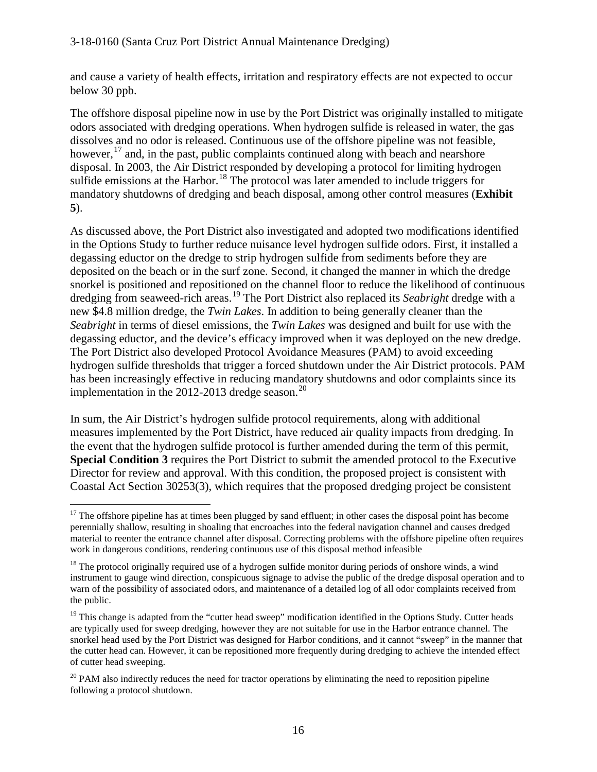#### 3-18-0160 (Santa Cruz Port District Annual Maintenance Dredging)

and cause a variety of health effects, irritation and respiratory effects are not expected to occur below 30 ppb.

The offshore disposal pipeline now in use by the Port District was originally installed to mitigate odors associated with dredging operations. When hydrogen sulfide is released in water, the gas dissolves and no odor is released. Continuous use of the offshore pipeline was not feasible, however,  $^{17}$  $^{17}$  $^{17}$  and, in the past, public complaints continued along with beach and nearshore disposal. In 2003, the Air District responded by developing a protocol for limiting hydrogen sulfide emissions at the Harbor.<sup>[18](#page-15-1)</sup> The protocol was later amended to include triggers for mandatory shutdowns of dredging and beach disposal, among other control measures (**Exhibit 5**).

As discussed above, the Port District also investigated and adopted two modifications identified in the Options Study to further reduce nuisance level hydrogen sulfide odors. First, it installed a degassing eductor on the dredge to strip hydrogen sulfide from sediments before they are deposited on the beach or in the surf zone. Second, it changed the manner in which the dredge snorkel is positioned and repositioned on the channel floor to reduce the likelihood of continuous dredging from seaweed-rich areas.[19](#page-15-2) The Port District also replaced its *Seabright* dredge with a new \$4.8 million dredge, the *Twin Lakes*. In addition to being generally cleaner than the *Seabright* in terms of diesel emissions, the *Twin Lakes* was designed and built for use with the degassing eductor, and the device's efficacy improved when it was deployed on the new dredge. The Port District also developed Protocol Avoidance Measures (PAM) to avoid exceeding hydrogen sulfide thresholds that trigger a forced shutdown under the Air District protocols. PAM has been increasingly effective in reducing mandatory shutdowns and odor complaints since its implementation in the [20](#page-15-3)12-2013 dredge season.<sup>20</sup>

In sum, the Air District's hydrogen sulfide protocol requirements, along with additional measures implemented by the Port District, have reduced air quality impacts from dredging. In the event that the hydrogen sulfide protocol is further amended during the term of this permit, **Special Condition 3** requires the Port District to submit the amended protocol to the Executive Director for review and approval. With this condition, the proposed project is consistent with Coastal Act Section 30253(3), which requires that the proposed dredging project be consistent

<span id="page-15-0"></span> $\overline{a}$  $17$  The offshore pipeline has at times been plugged by sand effluent; in other cases the disposal point has become perennially shallow, resulting in shoaling that encroaches into the federal navigation channel and causes dredged material to reenter the entrance channel after disposal. Correcting problems with the offshore pipeline often requires work in dangerous conditions, rendering continuous use of this disposal method infeasible

<span id="page-15-1"></span><sup>&</sup>lt;sup>18</sup> The protocol originally required use of a hydrogen sulfide monitor during periods of onshore winds, a wind instrument to gauge wind direction, conspicuous signage to advise the public of the dredge disposal operation and to warn of the possibility of associated odors, and maintenance of a detailed log of all odor complaints received from the public.

<span id="page-15-2"></span> $19$  This change is adapted from the "cutter head sweep" modification identified in the Options Study. Cutter heads are typically used for sweep dredging, however they are not suitable for use in the Harbor entrance channel. The snorkel head used by the Port District was designed for Harbor conditions, and it cannot "sweep" in the manner that the cutter head can. However, it can be repositioned more frequently during dredging to achieve the intended effect of cutter head sweeping.

<span id="page-15-3"></span> $20$  PAM also indirectly reduces the need for tractor operations by eliminating the need to reposition pipeline following a protocol shutdown.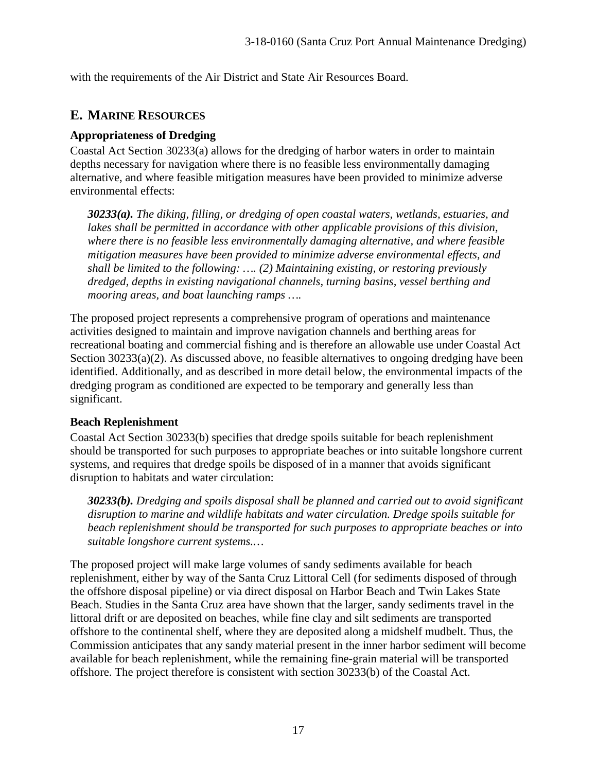with the requirements of the Air District and State Air Resources Board.

### **E. MARINE RESOURCES**

### **Appropriateness of Dredging**

Coastal Act Section 30233(a) allows for the dredging of harbor waters in order to maintain depths necessary for navigation where there is no feasible less environmentally damaging alternative, and where feasible mitigation measures have been provided to minimize adverse environmental effects:

*30233(a). The diking, filling, or dredging of open coastal waters, wetlands, estuaries, and*  lakes shall be permitted in accordance with other applicable provisions of this division, *where there is no feasible less environmentally damaging alternative, and where feasible mitigation measures have been provided to minimize adverse environmental effects, and shall be limited to the following: …. (2) Maintaining existing, or restoring previously dredged, depths in existing navigational channels, turning basins, vessel berthing and mooring areas, and boat launching ramps ….* 

The proposed project represents a comprehensive program of operations and maintenance activities designed to maintain and improve navigation channels and berthing areas for recreational boating and commercial fishing and is therefore an allowable use under Coastal Act Section 30233(a)(2). As discussed above, no feasible alternatives to ongoing dredging have been identified. Additionally, and as described in more detail below, the environmental impacts of the dredging program as conditioned are expected to be temporary and generally less than significant.

#### **Beach Replenishment**

Coastal Act Section 30233(b) specifies that dredge spoils suitable for beach replenishment should be transported for such purposes to appropriate beaches or into suitable longshore current systems, and requires that dredge spoils be disposed of in a manner that avoids significant disruption to habitats and water circulation:

*30233(b). Dredging and spoils disposal shall be planned and carried out to avoid significant disruption to marine and wildlife habitats and water circulation. Dredge spoils suitable for beach replenishment should be transported for such purposes to appropriate beaches or into suitable longshore current systems.…*

The proposed project will make large volumes of sandy sediments available for beach replenishment, either by way of the Santa Cruz Littoral Cell (for sediments disposed of through the offshore disposal pipeline) or via direct disposal on Harbor Beach and Twin Lakes State Beach. Studies in the Santa Cruz area have shown that the larger, sandy sediments travel in the littoral drift or are deposited on beaches, while fine clay and silt sediments are transported offshore to the continental shelf, where they are deposited along a midshelf mudbelt. Thus, the Commission anticipates that any sandy material present in the inner harbor sediment will become available for beach replenishment, while the remaining fine-grain material will be transported offshore. The project therefore is consistent with section 30233(b) of the Coastal Act.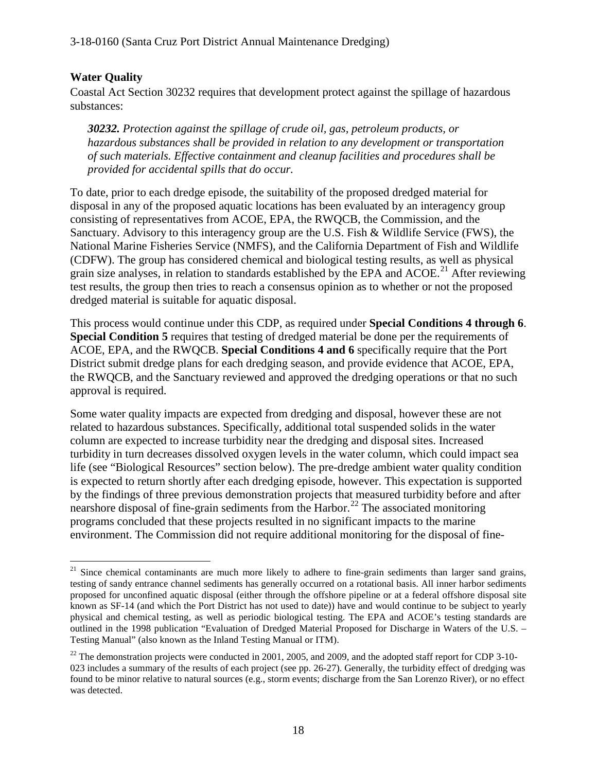### **Water Quality**

Coastal Act Section 30232 requires that development protect against the spillage of hazardous substances:

*30232. Protection against the spillage of crude oil, gas, petroleum products, or hazardous substances shall be provided in relation to any development or transportation of such materials. Effective containment and cleanup facilities and procedures shall be provided for accidental spills that do occur.* 

To date, prior to each dredge episode, the suitability of the proposed dredged material for disposal in any of the proposed aquatic locations has been evaluated by an interagency group consisting of representatives from ACOE, EPA, the RWQCB, the Commission, and the Sanctuary. Advisory to this interagency group are the U.S. Fish & Wildlife Service (FWS), the National Marine Fisheries Service (NMFS), and the California Department of Fish and Wildlife (CDFW). The group has considered chemical and biological testing results, as well as physical grain size analyses, in relation to standards established by the EPA and  $ACOE<sup>21</sup>$  $ACOE<sup>21</sup>$  $ACOE<sup>21</sup>$  After reviewing test results, the group then tries to reach a consensus opinion as to whether or not the proposed dredged material is suitable for aquatic disposal.

This process would continue under this CDP, as required under **Special Conditions 4 through 6**. **Special Condition 5** requires that testing of dredged material be done per the requirements of ACOE, EPA, and the RWQCB. **Special Conditions 4 and 6** specifically require that the Port District submit dredge plans for each dredging season, and provide evidence that ACOE, EPA, the RWQCB, and the Sanctuary reviewed and approved the dredging operations or that no such approval is required.

Some water quality impacts are expected from dredging and disposal, however these are not related to hazardous substances. Specifically, additional total suspended solids in the water column are expected to increase turbidity near the dredging and disposal sites. Increased turbidity in turn decreases dissolved oxygen levels in the water column, which could impact sea life (see "Biological Resources" section below). The pre-dredge ambient water quality condition is expected to return shortly after each dredging episode, however. This expectation is supported by the findings of three previous demonstration projects that measured turbidity before and after nearshore disposal of fine-grain sediments from the Harbor.<sup>[22](#page-17-1)</sup> The associated monitoring programs concluded that these projects resulted in no significant impacts to the marine environment. The Commission did not require additional monitoring for the disposal of fine-

<span id="page-17-0"></span> $\overline{a}$  $21$  Since chemical contaminants are much more likely to adhere to fine-grain sediments than larger sand grains, testing of sandy entrance channel sediments has generally occurred on a rotational basis. All inner harbor sediments proposed for unconfined aquatic disposal (either through the offshore pipeline or at a federal offshore disposal site known as SF-14 (and which the Port District has not used to date)) have and would continue to be subject to yearly physical and chemical testing, as well as periodic biological testing. The EPA and ACOE's testing standards are outlined in the 1998 publication "Evaluation of Dredged Material Proposed for Discharge in Waters of the U.S. – Testing Manual" (also known as the Inland Testing Manual or ITM).

<span id="page-17-1"></span> $22$  The demonstration projects were conducted in 2001, 2005, and 2009, and the adopted staff report for CDP 3-10-023 includes a summary of the results of each project (see pp. 26-27). Generally, the turbidity effect of dredging was found to be minor relative to natural sources (e.g., storm events; discharge from the San Lorenzo River), or no effect was detected.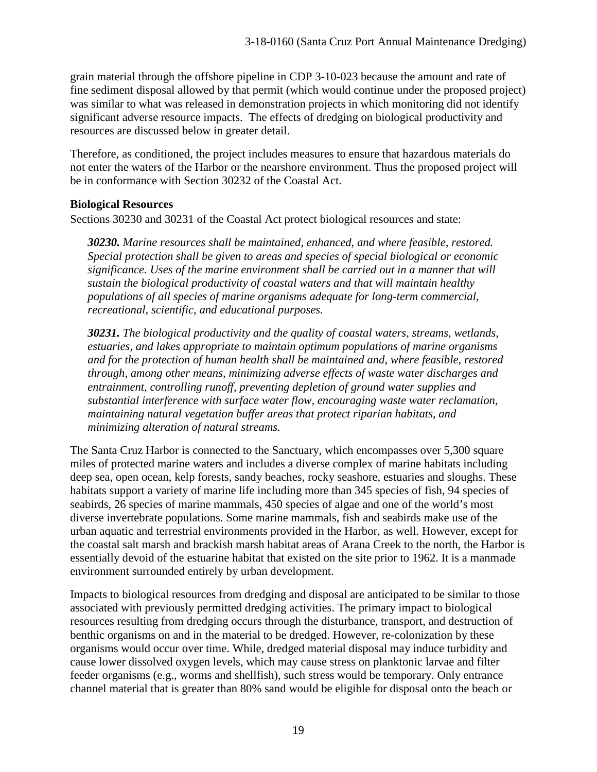grain material through the offshore pipeline in CDP 3-10-023 because the amount and rate of fine sediment disposal allowed by that permit (which would continue under the proposed project) was similar to what was released in demonstration projects in which monitoring did not identify significant adverse resource impacts. The effects of dredging on biological productivity and resources are discussed below in greater detail.

Therefore, as conditioned, the project includes measures to ensure that hazardous materials do not enter the waters of the Harbor or the nearshore environment. Thus the proposed project will be in conformance with Section 30232 of the Coastal Act.

### **Biological Resources**

Sections 30230 and 30231 of the Coastal Act protect biological resources and state:

*30230. Marine resources shall be maintained, enhanced, and where feasible, restored. Special protection shall be given to areas and species of special biological or economic significance. Uses of the marine environment shall be carried out in a manner that will sustain the biological productivity of coastal waters and that will maintain healthy populations of all species of marine organisms adequate for long-term commercial, recreational, scientific, and educational purposes.* 

*30231. The biological productivity and the quality of coastal waters, streams, wetlands, estuaries, and lakes appropriate to maintain optimum populations of marine organisms and for the protection of human health shall be maintained and, where feasible, restored through, among other means, minimizing adverse effects of waste water discharges and entrainment, controlling runoff, preventing depletion of ground water supplies and substantial interference with surface water flow, encouraging waste water reclamation, maintaining natural vegetation buffer areas that protect riparian habitats, and minimizing alteration of natural streams.*

The Santa Cruz Harbor is connected to the Sanctuary, which encompasses over 5,300 square miles of protected marine waters and includes a diverse complex of marine habitats including deep sea, open ocean, kelp forests, sandy beaches, rocky seashore, estuaries and sloughs. These habitats support a variety of marine life including more than 345 species of fish, 94 species of seabirds, 26 species of marine mammals, 450 species of algae and one of the world's most diverse invertebrate populations. Some marine mammals, fish and seabirds make use of the urban aquatic and terrestrial environments provided in the Harbor, as well. However, except for the coastal salt marsh and brackish marsh habitat areas of Arana Creek to the north, the Harbor is essentially devoid of the estuarine habitat that existed on the site prior to 1962. It is a manmade environment surrounded entirely by urban development.

Impacts to biological resources from dredging and disposal are anticipated to be similar to those associated with previously permitted dredging activities. The primary impact to biological resources resulting from dredging occurs through the disturbance, transport, and destruction of benthic organisms on and in the material to be dredged. However, re-colonization by these organisms would occur over time. While, dredged material disposal may induce turbidity and cause lower dissolved oxygen levels, which may cause stress on planktonic larvae and filter feeder organisms (e.g., worms and shellfish), such stress would be temporary. Only entrance channel material that is greater than 80% sand would be eligible for disposal onto the beach or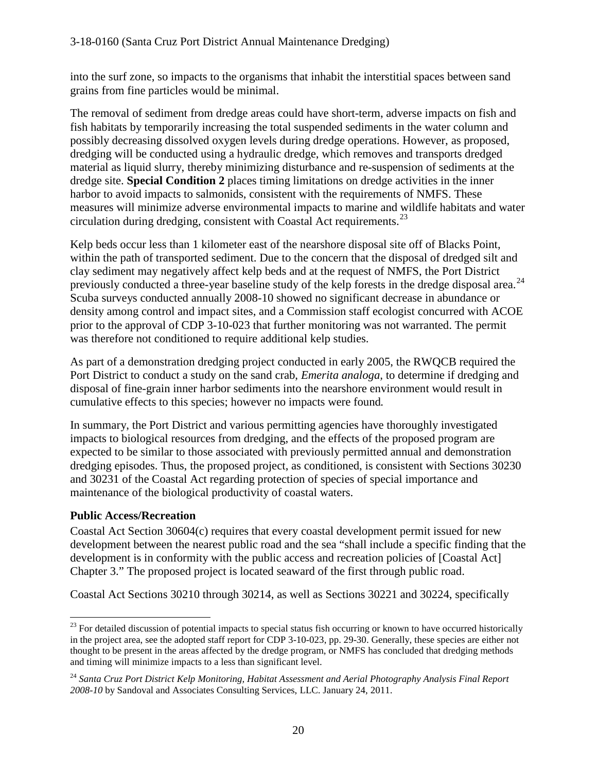into the surf zone, so impacts to the organisms that inhabit the interstitial spaces between sand grains from fine particles would be minimal.

The removal of sediment from dredge areas could have short-term, adverse impacts on fish and fish habitats by temporarily increasing the total suspended sediments in the water column and possibly decreasing dissolved oxygen levels during dredge operations. However, as proposed, dredging will be conducted using a hydraulic dredge, which removes and transports dredged material as liquid slurry, thereby minimizing disturbance and re-suspension of sediments at the dredge site. **Special Condition 2** places timing limitations on dredge activities in the inner harbor to avoid impacts to salmonids, consistent with the requirements of NMFS. These measures will minimize adverse environmental impacts to marine and wildlife habitats and water circulation during dredging, consistent with Coastal Act requirements.  $^{23}$  $^{23}$  $^{23}$ 

Kelp beds occur less than 1 kilometer east of the nearshore disposal site off of Blacks Point, within the path of transported sediment. Due to the concern that the disposal of dredged silt and clay sediment may negatively affect kelp beds and at the request of NMFS, the Port District previously conducted a three-year baseline study of the kelp forests in the dredge disposal area.<sup>[24](#page-19-1)</sup> Scuba surveys conducted annually 2008-10 showed no significant decrease in abundance or density among control and impact sites, and a Commission staff ecologist concurred with ACOE prior to the approval of CDP 3-10-023 that further monitoring was not warranted. The permit was therefore not conditioned to require additional kelp studies.

As part of a demonstration dredging project conducted in early 2005, the RWQCB required the Port District to conduct a study on the sand crab, *Emerita analoga,* to determine if dredging and disposal of fine-grain inner harbor sediments into the nearshore environment would result in cumulative effects to this species; however no impacts were found*.* 

In summary, the Port District and various permitting agencies have thoroughly investigated impacts to biological resources from dredging, and the effects of the proposed program are expected to be similar to those associated with previously permitted annual and demonstration dredging episodes. Thus, the proposed project, as conditioned, is consistent with Sections 30230 and 30231 of the Coastal Act regarding protection of species of special importance and maintenance of the biological productivity of coastal waters.

#### **Public Access/Recreation**

Coastal Act Section 30604(c) requires that every coastal development permit issued for new development between the nearest public road and the sea "shall include a specific finding that the development is in conformity with the public access and recreation policies of [Coastal Act] Chapter 3." The proposed project is located seaward of the first through public road.

Coastal Act Sections 30210 through 30214, as well as Sections 30221 and 30224, specifically

<span id="page-19-0"></span> $\overline{a}$  $23$  For detailed discussion of potential impacts to special status fish occurring or known to have occurred historically in the project area, see the adopted staff report for CDP 3-10-023, pp. 29-30. Generally, these species are either not thought to be present in the areas affected by the dredge program, or NMFS has concluded that dredging methods and timing will minimize impacts to a less than significant level.

<span id="page-19-1"></span><sup>24</sup> *Santa Cruz Port District Kelp Monitoring, Habitat Assessment and Aerial Photography Analysis Final Report 2008-10* by Sandoval and Associates Consulting Services, LLC. January 24, 2011.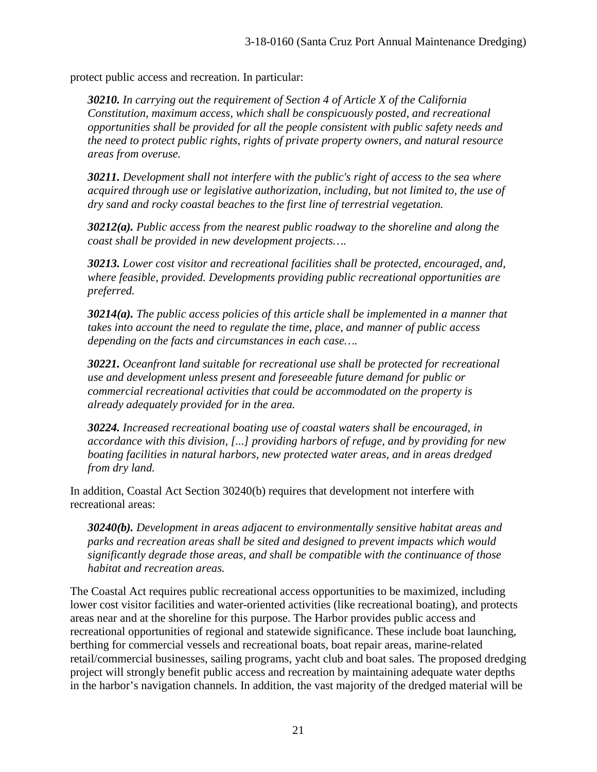protect public access and recreation. In particular:

*30210. In carrying out the requirement of Section 4 of Article X of the California Constitution, maximum access, which shall be conspicuously posted, and recreational opportunities shall be provided for all the people consistent with public safety needs and the need to protect public rights, rights of private property owners, and natural resource areas from overuse.* 

*30211. Development shall not interfere with the public's right of access to the sea where acquired through use or legislative authorization, including, but not limited to, the use of dry sand and rocky coastal beaches to the first line of terrestrial vegetation.* 

*30212(a). Public access from the nearest public roadway to the shoreline and along the coast shall be provided in new development projects….*

*30213. Lower cost visitor and recreational facilities shall be protected, encouraged, and, where feasible, provided. Developments providing public recreational opportunities are preferred.*

*30214(a). The public access policies of this article shall be implemented in a manner that takes into account the need to regulate the time, place, and manner of public access depending on the facts and circumstances in each case….* 

*30221. Oceanfront land suitable for recreational use shall be protected for recreational use and development unless present and foreseeable future demand for public or commercial recreational activities that could be accommodated on the property is already adequately provided for in the area.* 

*30224. Increased recreational boating use of coastal waters shall be encouraged, in accordance with this division, [...] providing harbors of refuge, and by providing for new boating facilities in natural harbors, new protected water areas, and in areas dredged from dry land.* 

In addition, Coastal Act Section 30240(b) requires that development not interfere with recreational areas:

*30240(b). Development in areas adjacent to environmentally sensitive habitat areas and parks and recreation areas shall be sited and designed to prevent impacts which would significantly degrade those areas, and shall be compatible with the continuance of those habitat and recreation areas.* 

The Coastal Act requires public recreational access opportunities to be maximized, including lower cost visitor facilities and water-oriented activities (like recreational boating), and protects areas near and at the shoreline for this purpose. The Harbor provides public access and recreational opportunities of regional and statewide significance. These include boat launching, berthing for commercial vessels and recreational boats, boat repair areas, marine-related retail/commercial businesses, sailing programs, yacht club and boat sales. The proposed dredging project will strongly benefit public access and recreation by maintaining adequate water depths in the harbor's navigation channels. In addition, the vast majority of the dredged material will be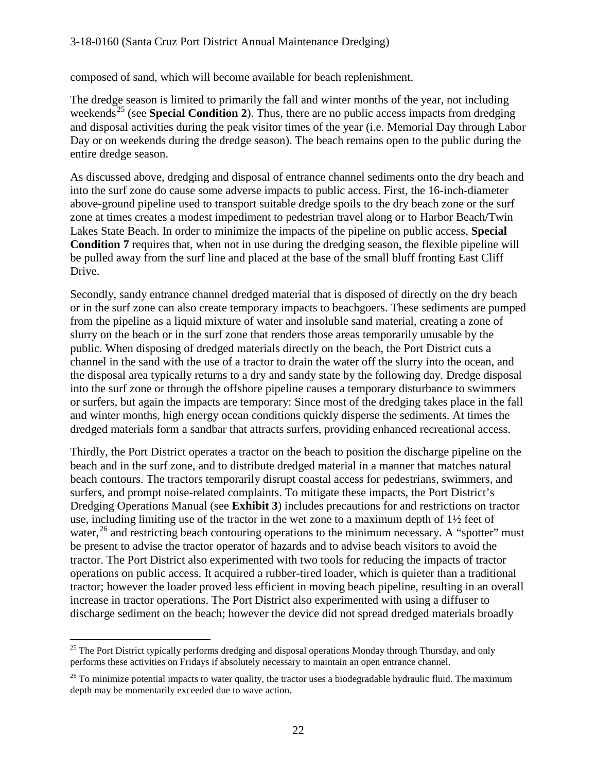#### 3-18-0160 (Santa Cruz Port District Annual Maintenance Dredging)

composed of sand, which will become available for beach replenishment.

The dredge season is limited to primarily the fall and winter months of the year, not including weekends<sup>[25](#page-21-0)</sup> (see **Special Condition 2**). Thus, there are no public access impacts from dredging and disposal activities during the peak visitor times of the year (i.e. Memorial Day through Labor Day or on weekends during the dredge season). The beach remains open to the public during the entire dredge season.

As discussed above, dredging and disposal of entrance channel sediments onto the dry beach and into the surf zone do cause some adverse impacts to public access. First, the 16-inch-diameter above-ground pipeline used to transport suitable dredge spoils to the dry beach zone or the surf zone at times creates a modest impediment to pedestrian travel along or to Harbor Beach/Twin Lakes State Beach. In order to minimize the impacts of the pipeline on public access, **Special Condition 7** requires that, when not in use during the dredging season, the flexible pipeline will be pulled away from the surf line and placed at the base of the small bluff fronting East Cliff Drive.

Secondly, sandy entrance channel dredged material that is disposed of directly on the dry beach or in the surf zone can also create temporary impacts to beachgoers. These sediments are pumped from the pipeline as a liquid mixture of water and insoluble sand material, creating a zone of slurry on the beach or in the surf zone that renders those areas temporarily unusable by the public. When disposing of dredged materials directly on the beach, the Port District cuts a channel in the sand with the use of a tractor to drain the water off the slurry into the ocean, and the disposal area typically returns to a dry and sandy state by the following day. Dredge disposal into the surf zone or through the offshore pipeline causes a temporary disturbance to swimmers or surfers, but again the impacts are temporary: Since most of the dredging takes place in the fall and winter months, high energy ocean conditions quickly disperse the sediments. At times the dredged materials form a sandbar that attracts surfers, providing enhanced recreational access.

Thirdly, the Port District operates a tractor on the beach to position the discharge pipeline on the beach and in the surf zone, and to distribute dredged material in a manner that matches natural beach contours. The tractors temporarily disrupt coastal access for pedestrians, swimmers, and surfers, and prompt noise-related complaints. To mitigate these impacts, the Port District's Dredging Operations Manual (see **Exhibit 3**) includes precautions for and restrictions on tractor use, including limiting use of the tractor in the wet zone to a maximum depth of 1½ feet of water,  $^{26}$  $^{26}$  $^{26}$  and restricting beach contouring operations to the minimum necessary. A "spotter" must be present to advise the tractor operator of hazards and to advise beach visitors to avoid the tractor. The Port District also experimented with two tools for reducing the impacts of tractor operations on public access. It acquired a rubber-tired loader, which is quieter than a traditional tractor; however the loader proved less efficient in moving beach pipeline, resulting in an overall increase in tractor operations. The Port District also experimented with using a diffuser to discharge sediment on the beach; however the device did not spread dredged materials broadly

<span id="page-21-0"></span> $\overline{a}$ <sup>25</sup> The Port District typically performs dredging and disposal operations Monday through Thursday, and only performs these activities on Fridays if absolutely necessary to maintain an open entrance channel.

<span id="page-21-1"></span> $^{26}$  To minimize potential impacts to water quality, the tractor uses a biodegradable hydraulic fluid. The maximum depth may be momentarily exceeded due to wave action.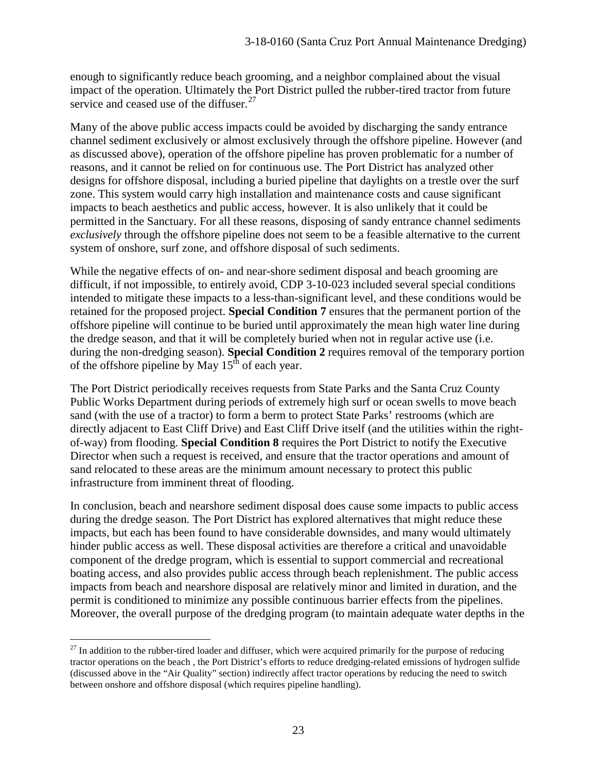enough to significantly reduce beach grooming, and a neighbor complained about the visual impact of the operation. Ultimately the Port District pulled the rubber-tired tractor from future service and ceased use of the diffuser.<sup>[27](#page-22-0)</sup>

Many of the above public access impacts could be avoided by discharging the sandy entrance channel sediment exclusively or almost exclusively through the offshore pipeline. However (and as discussed above), operation of the offshore pipeline has proven problematic for a number of reasons, and it cannot be relied on for continuous use. The Port District has analyzed other designs for offshore disposal, including a buried pipeline that daylights on a trestle over the surf zone. This system would carry high installation and maintenance costs and cause significant impacts to beach aesthetics and public access, however. It is also unlikely that it could be permitted in the Sanctuary. For all these reasons, disposing of sandy entrance channel sediments *exclusively* through the offshore pipeline does not seem to be a feasible alternative to the current system of onshore, surf zone, and offshore disposal of such sediments.

While the negative effects of on- and near-shore sediment disposal and beach grooming are difficult, if not impossible, to entirely avoid, CDP 3-10-023 included several special conditions intended to mitigate these impacts to a less-than-significant level, and these conditions would be retained for the proposed project. **Special Condition 7** ensures that the permanent portion of the offshore pipeline will continue to be buried until approximately the mean high water line during the dredge season, and that it will be completely buried when not in regular active use (i.e. during the non-dredging season). **Special Condition 2** requires removal of the temporary portion of the offshore pipeline by May  $15<sup>th</sup>$  of each year.

The Port District periodically receives requests from State Parks and the Santa Cruz County Public Works Department during periods of extremely high surf or ocean swells to move beach sand (with the use of a tractor) to form a berm to protect State Parks' restrooms (which are directly adjacent to East Cliff Drive) and East Cliff Drive itself (and the utilities within the rightof-way) from flooding. **Special Condition 8** requires the Port District to notify the Executive Director when such a request is received, and ensure that the tractor operations and amount of sand relocated to these areas are the minimum amount necessary to protect this public infrastructure from imminent threat of flooding.

In conclusion, beach and nearshore sediment disposal does cause some impacts to public access during the dredge season. The Port District has explored alternatives that might reduce these impacts, but each has been found to have considerable downsides, and many would ultimately hinder public access as well. These disposal activities are therefore a critical and unavoidable component of the dredge program, which is essential to support commercial and recreational boating access, and also provides public access through beach replenishment. The public access impacts from beach and nearshore disposal are relatively minor and limited in duration, and the permit is conditioned to minimize any possible continuous barrier effects from the pipelines. Moreover, the overall purpose of the dredging program (to maintain adequate water depths in the

<span id="page-22-0"></span> $\overline{a}$  $27$  In addition to the rubber-tired loader and diffuser, which were acquired primarily for the purpose of reducing tractor operations on the beach , the Port District's efforts to reduce dredging-related emissions of hydrogen sulfide (discussed above in the "Air Quality" section) indirectly affect tractor operations by reducing the need to switch between onshore and offshore disposal (which requires pipeline handling).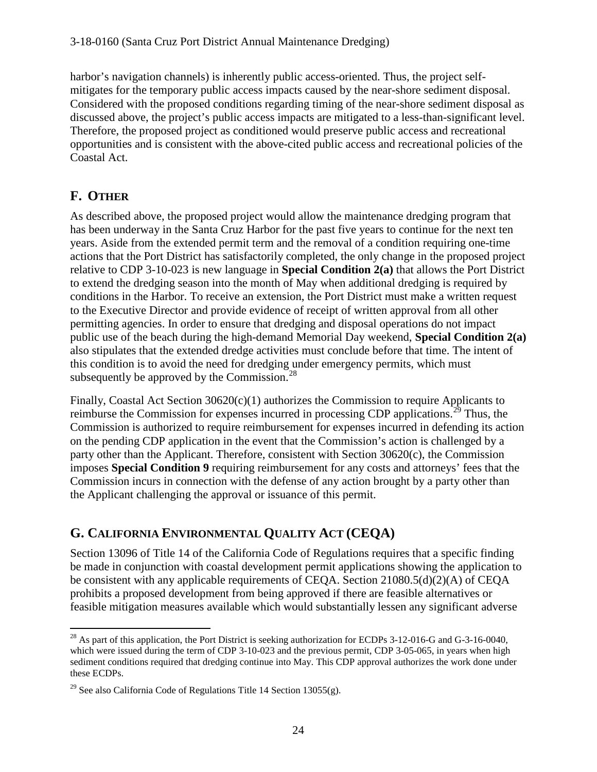harbor's navigation channels) is inherently public access-oriented. Thus, the project selfmitigates for the temporary public access impacts caused by the near-shore sediment disposal. Considered with the proposed conditions regarding timing of the near-shore sediment disposal as discussed above, the project's public access impacts are mitigated to a less-than-significant level. Therefore, the proposed project as conditioned would preserve public access and recreational opportunities and is consistent with the above-cited public access and recreational policies of the Coastal Act.

## **F. OTHER**

As described above, the proposed project would allow the maintenance dredging program that has been underway in the Santa Cruz Harbor for the past five years to continue for the next ten years. Aside from the extended permit term and the removal of a condition requiring one-time actions that the Port District has satisfactorily completed, the only change in the proposed project relative to CDP 3-10-023 is new language in **Special Condition 2(a)** that allows the Port District to extend the dredging season into the month of May when additional dredging is required by conditions in the Harbor. To receive an extension, the Port District must make a written request to the Executive Director and provide evidence of receipt of written approval from all other permitting agencies. In order to ensure that dredging and disposal operations do not impact public use of the beach during the high-demand Memorial Day weekend, **Special Condition 2(a)** also stipulates that the extended dredge activities must conclude before that time. The intent of this condition is to avoid the need for dredging under emergency permits, which must subsequently be approved by the Commission. $^{28}$ 

Finally, Coastal Act Section 30620(c)(1) authorizes the Commission to require Applicants to reimburse the Commission for expenses incurred in processing CDP applications.<sup>[29](#page-23-1)</sup> Thus, the Commission is authorized to require reimbursement for expenses incurred in defending its action on the pending CDP application in the event that the Commission's action is challenged by a party other than the Applicant. Therefore, consistent with Section 30620(c), the Commission imposes **Special Condition 9** requiring reimbursement for any costs and attorneys' fees that the Commission incurs in connection with the defense of any action brought by a party other than the Applicant challenging the approval or issuance of this permit.

# **G. CALIFORNIA ENVIRONMENTAL QUALITY ACT (CEQA)**

Section 13096 of Title 14 of the California Code of Regulations requires that a specific finding be made in conjunction with coastal development permit applications showing the application to be consistent with any applicable requirements of CEQA. Section 21080.5(d)(2)(A) of CEQA prohibits a proposed development from being approved if there are feasible alternatives or feasible mitigation measures available which would substantially lessen any significant adverse

<span id="page-23-0"></span> $\overline{a}$  $^{28}$  As part of this application, the Port District is seeking authorization for ECDPs 3-12-016-G and G-3-16-0040, which were issued during the term of CDP 3-10-023 and the previous permit, CDP 3-05-065, in years when high sediment conditions required that dredging continue into May. This CDP approval authorizes the work done under these ECDPs.

<span id="page-23-1"></span><sup>&</sup>lt;sup>29</sup> See also California Code of Regulations Title 14 Section 13055(g).